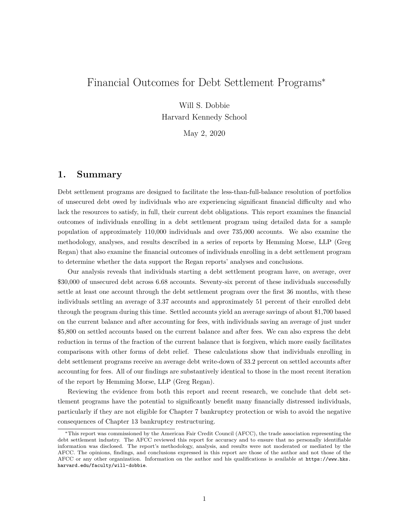# Financial Outcomes for Debt Settlement Programs\*

Will S. Dobbie Harvard Kennedy School

May 2, 2020

### **1. Summary**

Debt settlement programs are designed to facilitate the less-than-full-balance resolution of portfolios of unsecured debt owed by individuals who are experiencing significant financial difficulty and who lack the resources to satisfy, in full, their current debt obligations. This report examines the financial outcomes of individuals enrolling in a debt settlement program using detailed data for a sample population of approximately 110,000 individuals and over 735,000 accounts. We also examine the methodology, analyses, and results described in a series of reports by Hemming Morse, LLP (Greg Regan) that also examine the financial outcomes of individuals enrolling in a debt settlement program to determine whether the data support the Regan reports' analyses and conclusions.

Our analysis reveals that individuals starting a debt settlement program have, on average, over \$30,000 of unsecured debt across 6.68 accounts. Seventy-six percent of these individuals successfully settle at least one account through the debt settlement program over the first 36 months, with these individuals settling an average of 3.37 accounts and approximately 51 percent of their enrolled debt through the program during this time. Settled accounts yield an average savings of about \$1,700 based on the current balance and after accounting for fees, with individuals saving an average of just under \$5,800 on settled accounts based on the current balance and after fees. We can also express the debt reduction in terms of the fraction of the current balance that is forgiven, which more easily facilitates comparisons with other forms of debt relief. These calculations show that individuals enrolling in debt settlement programs receive an average debt write-down of 33.2 percent on settled accounts after accounting for fees. All of our findings are substantively identical to those in the most recent iteration of the report by Hemming Morse, LLP (Greg Regan).

Reviewing the evidence from both this report and recent research, we conclude that debt settlement programs have the potential to significantly benefit many financially distressed individuals, particularly if they are not eligible for Chapter 7 bankruptcy protection or wish to avoid the negative consequences of Chapter 13 bankruptcy restructuring.

<sup>\*</sup>This report was commissioned by the American Fair Credit Council (AFCC), the trade association representing the debt settlement industry. The AFCC reviewed this report for accuracy and to ensure that no personally identifiable information was disclosed. The report's methodology, analysis, and results were not moderated or mediated by the AFCC. The opinions, findings, and conclusions expressed in this report are those of the author and not those of the AFCC or any other organization. Information on the author and his qualifications is available at https://www.hks. harvard.edu/faculty/will-dobbie.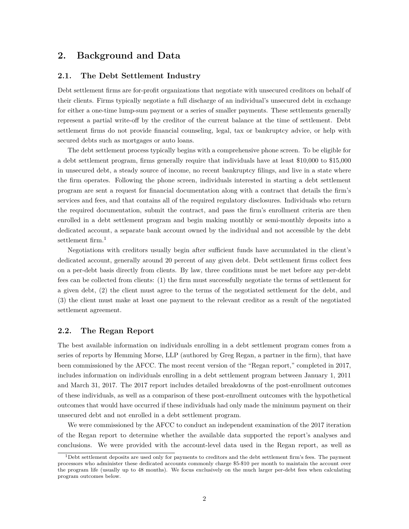### **2. Background and Data**

#### **2.1. The Debt Settlement Industry**

Debt settlement firms are for-profit organizations that negotiate with unsecured creditors on behalf of their clients. Firms typically negotiate a full discharge of an individual's unsecured debt in exchange for either a one-time lump-sum payment or a series of smaller payments. These settlements generally represent a partial write-off by the creditor of the current balance at the time of settlement. Debt settlement firms do not provide financial counseling, legal, tax or bankruptcy advice, or help with secured debts such as mortgages or auto loans.

The debt settlement process typically begins with a comprehensive phone screen. To be eligible for a debt settlement program, firms generally require that individuals have at least \$10,000 to \$15,000 in unsecured debt, a steady source of income, no recent bankruptcy filings, and live in a state where the firm operates. Following the phone screen, individuals interested in starting a debt settlement program are sent a request for financial documentation along with a contract that details the firm's services and fees, and that contains all of the required regulatory disclosures. Individuals who return the required documentation, submit the contract, and pass the firm's enrollment criteria are then enrolled in a debt settlement program and begin making monthly or semi-monthly deposits into a dedicated account, a separate bank account owned by the individual and not accessible by the debt settlement firm.<sup>1</sup>

Negotiations with creditors usually begin after sufficient funds have accumulated in the client's dedicated account, generally around 20 percent of any given debt. Debt settlement firms collect fees on a per-debt basis directly from clients. By law, three conditions must be met before any per-debt fees can be collected from clients: (1) the firm must successfully negotiate the terms of settlement for a given debt, (2) the client must agree to the terms of the negotiated settlement for the debt, and (3) the client must make at least one payment to the relevant creditor as a result of the negotiated settlement agreement.

### **2.2. The Regan Report**

The best available information on individuals enrolling in a debt settlement program comes from a series of reports by Hemming Morse, LLP (authored by Greg Regan, a partner in the firm), that have been commissioned by the AFCC. The most recent version of the "Regan report," completed in 2017, includes information on individuals enrolling in a debt settlement program between January 1, 2011 and March 31, 2017. The 2017 report includes detailed breakdowns of the post-enrollment outcomes of these individuals, as well as a comparison of these post-enrollment outcomes with the hypothetical outcomes that would have occurred if these individuals had only made the minimum payment on their unsecured debt and not enrolled in a debt settlement program.

We were commissioned by the AFCC to conduct an independent examination of the 2017 iteration of the Regan report to determine whether the available data supported the report's analyses and conclusions. We were provided with the account-level data used in the Regan report, as well as

 $1$ Debt settlement deposits are used only for payments to creditors and the debt settlement firm's fees. The payment processors who administer these dedicated accounts commonly charge \$5-\$10 per month to maintain the account over the program life (usually up to 48 months). We focus exclusively on the much larger per-debt fees when calculating program outcomes below.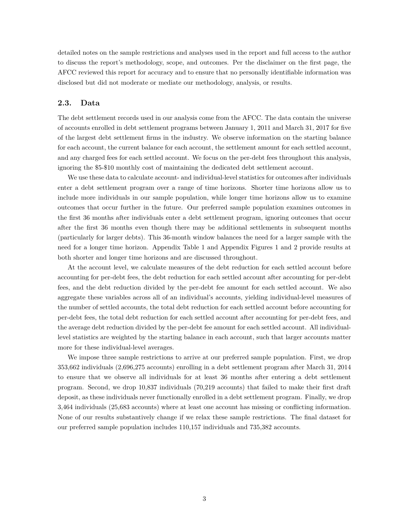detailed notes on the sample restrictions and analyses used in the report and full access to the author to discuss the report's methodology, scope, and outcomes. Per the disclaimer on the first page, the AFCC reviewed this report for accuracy and to ensure that no personally identifiable information was disclosed but did not moderate or mediate our methodology, analysis, or results.

#### **2.3. Data**

The debt settlement records used in our analysis come from the AFCC. The data contain the universe of accounts enrolled in debt settlement programs between January 1, 2011 and March 31, 2017 for five of the largest debt settlement firms in the industry. We observe information on the starting balance for each account, the current balance for each account, the settlement amount for each settled account, and any charged fees for each settled account. We focus on the per-debt fees throughout this analysis, ignoring the \$5-\$10 monthly cost of maintaining the dedicated debt settlement account.

We use these data to calculate account- and individual-level statistics for outcomes after individuals enter a debt settlement program over a range of time horizons. Shorter time horizons allow us to include more individuals in our sample population, while longer time horizons allow us to examine outcomes that occur further in the future. Our preferred sample population examines outcomes in the first 36 months after individuals enter a debt settlement program, ignoring outcomes that occur after the first 36 months even though there may be additional settlements in subsequent months (particularly for larger debts). This 36-month window balances the need for a larger sample with the need for a longer time horizon. Appendix Table 1 and Appendix Figures 1 and 2 provide results at both shorter and longer time horizons and are discussed throughout.

At the account level, we calculate measures of the debt reduction for each settled account before accounting for per-debt fees, the debt reduction for each settled account after accounting for per-debt fees, and the debt reduction divided by the per-debt fee amount for each settled account. We also aggregate these variables across all of an individual's accounts, yielding individual-level measures of the number of settled accounts, the total debt reduction for each settled account before accounting for per-debt fees, the total debt reduction for each settled account after accounting for per-debt fees, and the average debt reduction divided by the per-debt fee amount for each settled account. All individuallevel statistics are weighted by the starting balance in each account, such that larger accounts matter more for these individual-level averages.

We impose three sample restrictions to arrive at our preferred sample population. First, we drop 353,662 individuals (2,696,275 accounts) enrolling in a debt settlement program after March 31, 2014 to ensure that we observe all individuals for at least 36 months after entering a debt settlement program. Second, we drop 10,837 individuals (70,219 accounts) that failed to make their first draft deposit, as these individuals never functionally enrolled in a debt settlement program. Finally, we drop 3,464 individuals (25,683 accounts) where at least one account has missing or conflicting information. None of our results substantively change if we relax these sample restrictions. The final dataset for our preferred sample population includes 110,157 individuals and 735,382 accounts.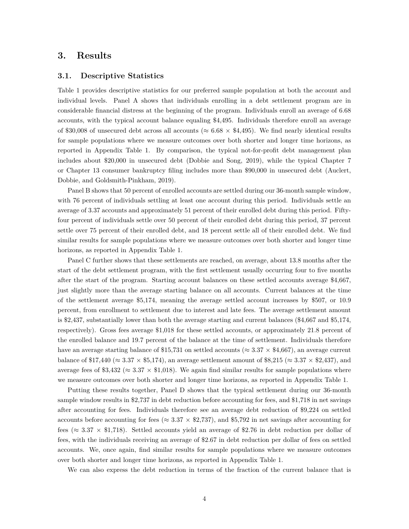### **3. Results**

#### **3.1. Descriptive Statistics**

Table 1 provides descriptive statistics for our preferred sample population at both the account and individual levels. Panel A shows that individuals enrolling in a debt settlement program are in considerable financial distress at the beginning of the program. Individuals enroll an average of 6.68 accounts, with the typical account balance equaling \$4,495. Individuals therefore enroll an average of \$30,008 of unsecured debt across all accounts ( $\approx 6.68 \times 4.495$ ). We find nearly identical results for sample populations where we measure outcomes over both shorter and longer time horizons, as reported in Appendix Table 1. By comparison, the typical not-for-profit debt management plan includes about \$20,000 in unsecured debt (Dobbie and Song, 2019), while the typical Chapter 7 or Chapter 13 consumer bankruptcy filing includes more than \$90,000 in unsecured debt (Auclert, Dobbie, and Goldsmith-Pinkham, 2019).

Panel B shows that 50 percent of enrolled accounts are settled during our 36-month sample window, with 76 percent of individuals settling at least one account during this period. Individuals settle an average of 3.37 accounts and approximately 51 percent of their enrolled debt during this period. Fiftyfour percent of individuals settle over 50 percent of their enrolled debt during this period, 37 percent settle over 75 percent of their enrolled debt, and 18 percent settle all of their enrolled debt. We find similar results for sample populations where we measure outcomes over both shorter and longer time horizons, as reported in Appendix Table 1.

Panel C further shows that these settlements are reached, on average, about 13.8 months after the start of the debt settlement program, with the first settlement usually occurring four to five months after the start of the program. Starting account balances on these settled accounts average \$4,667, just slightly more than the average starting balance on all accounts. Current balances at the time of the settlement average \$5,174, meaning the average settled account increases by \$507, or 10.9 percent, from enrollment to settlement due to interest and late fees. The average settlement amount is \$2,437, substantially lower than both the average starting and current balances (\$4,667 and \$5,174, respectively). Gross fees average \$1,018 for these settled accounts, or approximately 21.8 percent of the enrolled balance and 19.7 percent of the balance at the time of settlement. Individuals therefore have an average starting balance of \$15,731 on settled accounts ( $\approx 3.37 \times 4.667$ ), an average current balance of \$17,440 ( $\approx 3.37 \times$  \$5,174), an average settlement amount of \$8,215 ( $\approx 3.37 \times$  \$2,437), and average fees of \$3,432 ( $\approx 3.37 \times$  \$1,018). We again find similar results for sample populations where we measure outcomes over both shorter and longer time horizons, as reported in Appendix Table 1.

Putting these results together, Panel D shows that the typical settlement during our 36-month sample window results in \$2,737 in debt reduction before accounting for fees, and \$1,718 in net savings after accounting for fees. Individuals therefore see an average debt reduction of \$9,224 on settled accounts before accounting for fees ( $\approx 3.37 \times 2.737$ ), and \$5,792 in net savings after accounting for fees ( $\approx 3.37 \times 1.718$ ). Settled accounts yield an average of \$2.76 in debt reduction per dollar of fees, with the individuals receiving an average of \$2.67 in debt reduction per dollar of fees on settled accounts. We, once again, find similar results for sample populations where we measure outcomes over both shorter and longer time horizons, as reported in Appendix Table 1.

We can also express the debt reduction in terms of the fraction of the current balance that is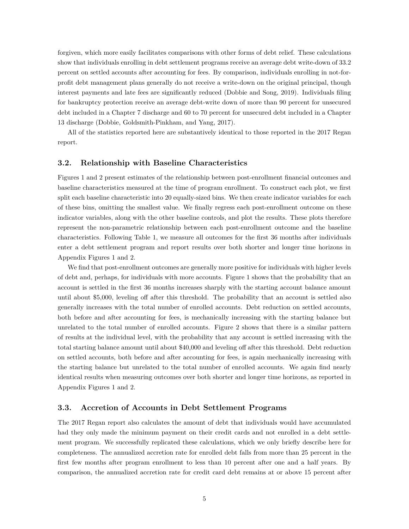forgiven, which more easily facilitates comparisons with other forms of debt relief. These calculations show that individuals enrolling in debt settlement programs receive an average debt write-down of 33.2 percent on settled accounts after accounting for fees. By comparison, individuals enrolling in not-forprofit debt management plans generally do not receive a write-down on the original principal, though interest payments and late fees are significantly reduced (Dobbie and Song, 2019). Individuals filing for bankruptcy protection receive an average debt-write down of more than 90 percent for unsecured debt included in a Chapter 7 discharge and 60 to 70 percent for unsecured debt included in a Chapter 13 discharge (Dobbie, Goldsmith-Pinkham, and Yang, 2017).

All of the statistics reported here are substantively identical to those reported in the 2017 Regan report.

#### **3.2. Relationship with Baseline Characteristics**

Figures 1 and 2 present estimates of the relationship between post-enrollment financial outcomes and baseline characteristics measured at the time of program enrollment. To construct each plot, we first split each baseline characteristic into 20 equally-sized bins. We then create indicator variables for each of these bins, omitting the smallest value. We finally regress each post-enrollment outcome on these indicator variables, along with the other baseline controls, and plot the results. These plots therefore represent the non-parametric relationship between each post-enrollment outcome and the baseline characteristics. Following Table 1, we measure all outcomes for the first 36 months after individuals enter a debt settlement program and report results over both shorter and longer time horizons in Appendix Figures 1 and 2.

We find that post-enrollment outcomes are generally more positive for individuals with higher levels of debt and, perhaps, for individuals with more accounts. Figure 1 shows that the probability that an account is settled in the first 36 months increases sharply with the starting account balance amount until about \$5,000, leveling off after this threshold. The probability that an account is settled also generally increases with the total number of enrolled accounts. Debt reduction on settled accounts, both before and after accounting for fees, is mechanically increasing with the starting balance but unrelated to the total number of enrolled accounts. Figure 2 shows that there is a similar pattern of results at the individual level, with the probability that any account is settled increasing with the total starting balance amount until about \$40,000 and leveling off after this threshold. Debt reduction on settled accounts, both before and after accounting for fees, is again mechanically increasing with the starting balance but unrelated to the total number of enrolled accounts. We again find nearly identical results when measuring outcomes over both shorter and longer time horizons, as reported in Appendix Figures 1 and 2.

#### **3.3. Accretion of Accounts in Debt Settlement Programs**

The 2017 Regan report also calculates the amount of debt that individuals would have accumulated had they only made the minimum payment on their credit cards and not enrolled in a debt settlement program. We successfully replicated these calculations, which we only briefly describe here for completeness. The annualized accretion rate for enrolled debt falls from more than 25 percent in the first few months after program enrollment to less than 10 percent after one and a half years. By comparison, the annualized accretion rate for credit card debt remains at or above 15 percent after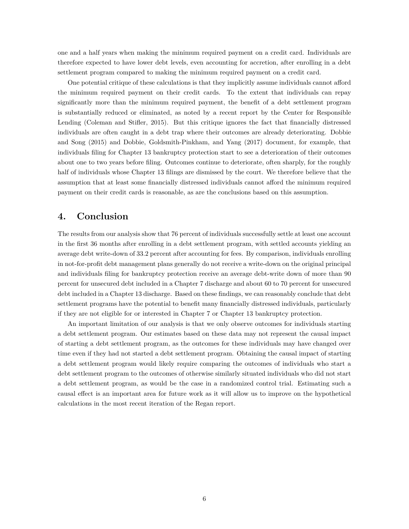one and a half years when making the minimum required payment on a credit card. Individuals are therefore expected to have lower debt levels, even accounting for accretion, after enrolling in a debt settlement program compared to making the minimum required payment on a credit card.

One potential critique of these calculations is that they implicitly assume individuals cannot afford the minimum required payment on their credit cards. To the extent that individuals can repay significantly more than the minimum required payment, the benefit of a debt settlement program is substantially reduced or eliminated, as noted by a recent report by the Center for Responsible Lending (Coleman and Stifler, 2015). But this critique ignores the fact that financially distressed individuals are often caught in a debt trap where their outcomes are already deteriorating. Dobbie and Song (2015) and Dobbie, Goldsmith-Pinkham, and Yang (2017) document, for example, that individuals filing for Chapter 13 bankruptcy protection start to see a deterioration of their outcomes about one to two years before filing. Outcomes continue to deteriorate, often sharply, for the roughly half of individuals whose Chapter 13 filings are dismissed by the court. We therefore believe that the assumption that at least some financially distressed individuals cannot afford the minimum required payment on their credit cards is reasonable, as are the conclusions based on this assumption.

### **4. Conclusion**

The results from our analysis show that 76 percent of individuals successfully settle at least one account in the first 36 months after enrolling in a debt settlement program, with settled accounts yielding an average debt write-down of 33.2 percent after accounting for fees. By comparison, individuals enrolling in not-for-profit debt management plans generally do not receive a write-down on the original principal and individuals filing for bankruptcy protection receive an average debt-write down of more than 90 percent for unsecured debt included in a Chapter 7 discharge and about 60 to 70 percent for unsecured debt included in a Chapter 13 discharge. Based on these findings, we can reasonably conclude that debt settlement programs have the potential to benefit many financially distressed individuals, particularly if they are not eligible for or interested in Chapter 7 or Chapter 13 bankruptcy protection.

An important limitation of our analysis is that we only observe outcomes for individuals starting a debt settlement program. Our estimates based on these data may not represent the causal impact of starting a debt settlement program, as the outcomes for these individuals may have changed over time even if they had not started a debt settlement program. Obtaining the causal impact of starting a debt settlement program would likely require comparing the outcomes of individuals who start a debt settlement program to the outcomes of otherwise similarly situated individuals who did not start a debt settlement program, as would be the case in a randomized control trial. Estimating such a causal effect is an important area for future work as it will allow us to improve on the hypothetical calculations in the most recent iteration of the Regan report.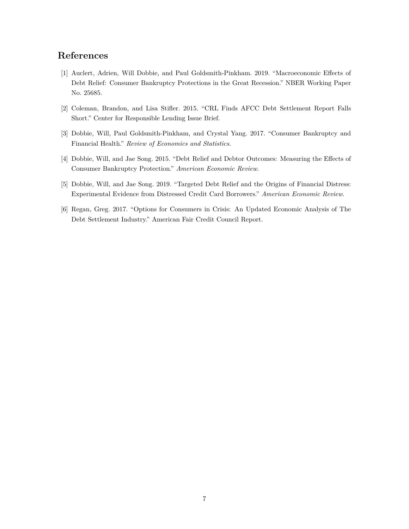## **References**

- [1] Auclert, Adrien, Will Dobbie, and Paul Goldsmith-Pinkham. 2019. "Macroeconomic Effects of Debt Relief: Consumer Bankruptcy Protections in the Great Recession." NBER Working Paper No. 25685.
- [2] Coleman, Brandon, and Lisa Stifler. 2015. "CRL Finds AFCC Debt Settlement Report Falls Short." Center for Responsible Lending Issue Brief.
- [3] Dobbie, Will, Paul Goldsmith-Pinkham, and Crystal Yang. 2017. "Consumer Bankruptcy and Financial Health." *Review of Economics and Statistics*.
- [4] Dobbie, Will, and Jae Song. 2015. "Debt Relief and Debtor Outcomes: Measuring the Effects of Consumer Bankruptcy Protection." *American Economic Review*.
- [5] Dobbie, Will, and Jae Song. 2019. "Targeted Debt Relief and the Origins of Financial Distress: Experimental Evidence from Distressed Credit Card Borrowers." *American Economic Review*.
- [6] Regan, Greg. 2017. "Options for Consumers in Crisis: An Updated Economic Analysis of The Debt Settlement Industry." American Fair Credit Council Report.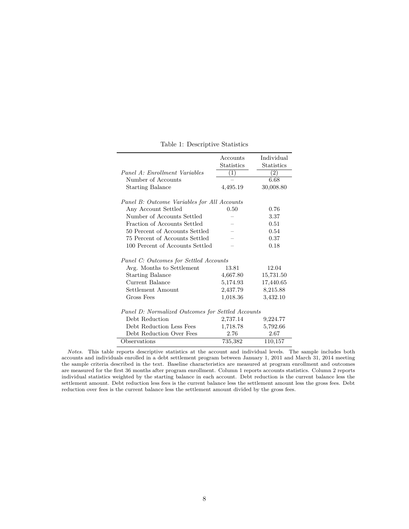|                                                   | Accounts          | Individual        |
|---------------------------------------------------|-------------------|-------------------|
|                                                   | <b>Statistics</b> | <b>Statistics</b> |
| Panel A: Enrollment Variables                     | $\left(1\right)$  | $\left( 2\right)$ |
| Number of Accounts                                |                   | 6.68              |
| <b>Starting Balance</b>                           | 4,495.19          | 30,008.80         |
| Panel B: Outcome Variables for All Accounts       |                   |                   |
| Any Account Settled                               | 0.50              | 0.76              |
| Number of Accounts Settled                        |                   | 3.37              |
| Fraction of Accounts Settled                      |                   | 0.51              |
| 50 Percent of Accounts Settled                    |                   | 0.54              |
| 75 Percent of Accounts Settled                    |                   | 0.37              |
| 100 Percent of Accounts Settled                   |                   | 0.18              |
| Panel C: Outcomes for Settled Accounts            |                   |                   |
| Avg. Months to Settlement                         | 13.81             | 12.04             |
| <b>Starting Balance</b>                           | 4,667.80          | 15,731.50         |
| Current Balance                                   | 5,174.93          | 17,440.65         |
| Settlement Amount                                 | 2,437.79          | 8,215.88          |
| Gross Fees                                        | 1,018.36          | 3,432.10          |
| Panel D: Normalized Outcomes for Settled Accounts |                   |                   |
| Debt Reduction                                    | 2,737.14          | 9,224.77          |
| Debt Reduction Less Fees                          | 1,718.78          | 5,792.66          |
| Debt Reduction Over Fees                          | 2.76              | 2.67              |
| Observations                                      | 735,382           | 110,157           |

Table 1: Descriptive Statistics

*Notes.* This table reports descriptive statistics at the account and individual levels. The sample includes both accounts and individuals enrolled in a debt settlement program between January 1, 2011 and March 31, 2014 meeting the sample criteria described in the text. Baseline characteristics are measured at program enrollment and outcomes are measured for the first 36 months after program enrollment. Column 1 reports accounts statistics. Column 2 reports individual statistics weighted by the starting balance in each account. Debt reduction is the current balance less the settlement amount. Debt reduction less fees is the current balance less the settlement amount less the gross fees. Debt reduction over fees is the current balance less the settlement amount divided by the gross fees.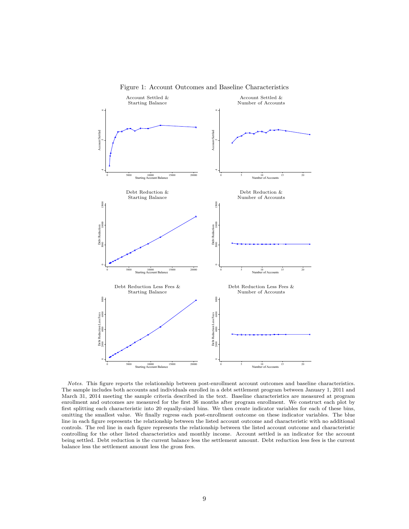

Figure 1: Account Outcomes and Baseline Characteristics

*Notes.* This figure reports the relationship between post-enrollment account outcomes and baseline characteristics. The sample includes both accounts and individuals enrolled in a debt settlement program between January 1, 2011 and March 31, 2014 meeting the sample criteria described in the text. Baseline characteristics are measured at program enrollment and outcomes are measured for the first 36 months after program enrollment. We construct each plot by first splitting each characteristic into 20 equally-sized bins. We then create indicator variables for each of these bins, omitting the smallest value. We finally regress each post-enrollment outcome on these indicator variables. The blue line in each figure represents the relationship between the listed account outcome and characteristic with no additional controls. The red line in each figure represents the relationship between the listed account outcome and characteristic controlling for the other listed characteristics and monthly income. Account settled is an indicator for the account being settled. Debt reduction is the current balance less the settlement amount. Debt reduction less fees is the current balance less the settlement amount less the gross fees.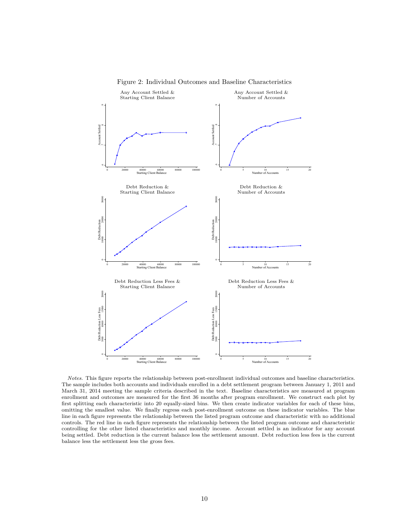

Figure 2: Individual Outcomes and Baseline Characteristics

*Notes.* This figure reports the relationship between post-enrollment individual outcomes and baseline characteristics. The sample includes both accounts and individuals enrolled in a debt settlement program between January 1, 2011 and March 31, 2014 meeting the sample criteria described in the text. Baseline characteristics are measured at program enrollment and outcomes are measured for the first 36 months after program enrollment. We construct each plot by first splitting each characteristic into 20 equally-sized bins. We then create indicator variables for each of these bins, omitting the smallest value. We finally regress each post-enrollment outcome on these indicator variables. The blue line in each figure represents the relationship between the listed program outcome and characteristic with no additional controls. The red line in each figure represents the relationship between the listed program outcome and characteristic controlling for the other listed characteristics and monthly income. Account settled is an indicator for any account being settled. Debt reduction is the current balance less the settlement amount. Debt reduction less fees is the current balance less the settlement less the gross fees.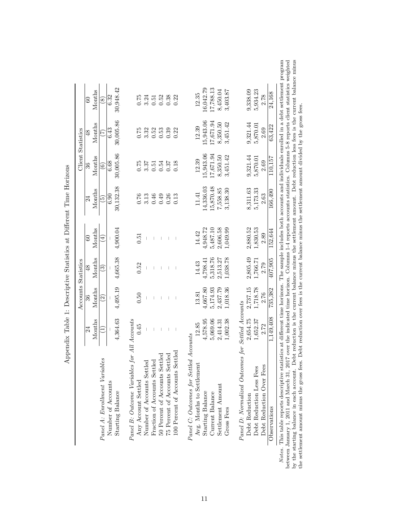|                                                   |           | Accounts               | Statistics |                      |                          | <b>Client Statistics</b> |               |               |
|---------------------------------------------------|-----------|------------------------|------------|----------------------|--------------------------|--------------------------|---------------|---------------|
|                                                   | 24        | 36                     | 48         | 60                   | 24                       | 36                       | $\frac{8}{3}$ | $^{\circ}$    |
|                                                   | Months    | Months                 | Months     | Months               | Months                   | Months                   | Months        | Months        |
| Panel A: Enrollment Variables                     | Ξ         | $\widehat{\mathbb{C}}$ | ව          | $\left( \pm \right)$ | $\widetilde{\mathbb{P}}$ | $\widehat{\circ}$        | E             | $\circledast$ |
| Number of Accounts                                |           |                        |            |                      | 6.90                     | 6.68                     | 6.43          | 6.32          |
| Starting Balance                                  | 4,364.63  | 4,495.19               | 4,665.38   | 4,900.04             | 30,132.38                | 30,005.86                | 30,005.86     | 30,948.42     |
| Panel B: Outcome Variables for All Accounts       |           |                        |            |                      |                          |                          |               |               |
| Any Account Settled                               | 0.45      | 0.50                   | 0.52       | 0.51                 | 0.76                     | 0.75                     | 0.75          | 0.75          |
| Number of Accounts Settled                        |           |                        |            |                      | 3.13                     | 3.37                     | 3.32          | 3.24          |
| Fraction of Accounts Settled                      |           |                        |            |                      | 0.46                     | 0.51                     | 0.52          | 0.51          |
| 50 Percent of Accounts Settled                    |           |                        |            |                      | 0.49                     | 0.54                     | 0.53          | 0.52          |
| 75 Percent of Accounts Settled                    |           |                        |            |                      | 0.26                     | 0.37                     | 0.39          | 0.38          |
| 100 Percent of Accounts Settled                   |           |                        |            |                      | 0.13                     | 0.18                     | 0.22          | 0.22          |
| Settled Accounts<br>Panel C: Outcomes for         |           |                        |            |                      |                          |                          |               |               |
| Avg. Months to Settlement                         | 12.85     | 13.81                  | 14.43      | 14.42                | 11.41                    | 12.39                    | 12.39         | 12.35         |
| Starting Balance                                  | 4,578.95  | 4,667.80               | 4,798.41   | 4,948.72             | 14,336.03                | 5,943.06                 | 15,943.06     | 16,042.79     |
| Current Balance                                   | 5,069.06  | 5,174.93               | 5,318.76   | 5,487.10             | 15,870.48                | 17,671.94                | 17,671.94     | 17,788.13     |
| Settlement Amount                                 | 2,414.31  | 2,437.79               | 2,513.27   | 2,606.58             | 7,558.85                 | 8,350.50                 | 8,350.50      | 8,450.04      |
| Gross Fees                                        | 1,002.38  | 1,018.36               | 1,038.78   | 1,049.99             | 3,138.30                 | 3,451.42                 | 3,451.42      | 3,403.87      |
| Panel D: Normalized Outcomes for Settled Accounts |           |                        |            |                      |                          |                          |               |               |
| Debt Reduction                                    | 2,654.75  | 2,737.15               | 2,805.49   | 2,880.52             | 8,311.63                 | 9,321.44                 | 9,321.44      | 9,338.09      |
| Fees<br>Debt Reduction Less                       | 1,652.37  | 1,718.78               | 1,766.71   | 1,830.53             | 5,173.33                 | 5,870.01                 | 5,870.01      | 5,934.23      |
| Fees<br>Debt Reduction Over                       | 2.72      | 2.76                   | 2.79       | 2.89                 | 2.63                     | 2.69                     | 2.69          | 2.78          |
| Observations                                      | 1,149,408 | 735,382                | 407,905    | 152,644              | 166,490                  | 110,157                  | 63,422        | 24,168        |

| $\overline{a}$<br>l<br>$\overline{1}$<br>i<br>l |
|-------------------------------------------------|
| $\frac{1}{2}$<br>ı<br>į<br>$\frac{1}{2}$<br>Ŝ   |
| $\ddot{\phantom{a}}$                            |
| ı<br>í                                          |
| .<br>.<br>.<br>ı                                |
| I                                               |
| <br> }<br> <br>ŀ                                |
| l<br>֚֚֬֕<br>ׇ֦֖֚֘֝֕֕<br>،<br>ا                 |

rogram between January 1, 2011 and March 31, 2017 over the indicated time horizon. Columns 1-4 reports accounts statistics. Columns 5-8 reports client statistics weighted<br>by the starting balance in each account. Debt reduction is Notes. This table reports descriptive statistics at different time horizons. The sample includes both accounts and individuals enrolled in a debt settlement program between January 1, 2011 and March 31, 2017 over the indicated time horizon. Columns 1-4 reports accounts statistics. Columns 5-8 reports client statistics weighted by the starting balance in each account. Debt reduction is the current balance minus the settlement amount. Debt reduction less fees is the current balance minus the settlement amount minus the gross fees. Debt reduction over fees is the current balance minus the settlement amount divided by the gross fees. Note: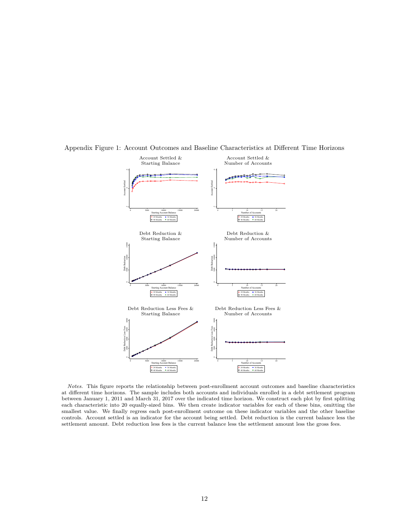

Appendix Figure 1: Account Outcomes and Baseline Characteristics at Different Time Horizons

*Notes.* This figure reports the relationship between post-enrollment account outcomes and baseline characteristics at different time horizons. The sample includes both accounts and individuals enrolled in a debt settlement program between January 1, 2011 and March 31, 2017 over the indicated time horizon. We construct each plot by first splitting each characteristic into 20 equally-sized bins. We then create indicator variables for each of these bins, omitting the smallest value. We finally regress each post-enrollment outcome on these indicator variables and the other baseline controls. Account settled is an indicator for the account being settled. Debt reduction is the current balance less the settlement amount. Debt reduction less fees is the current balance less the settlement amount less the gross fees.